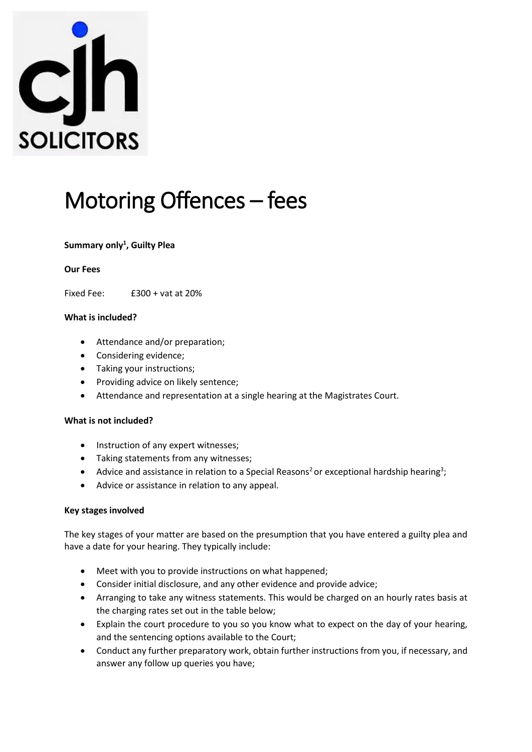

# Motoring Offences – fees

## **Summary only<sup>1</sup> , Guilty Plea**

#### **Our Fees**

Fixed Fee: £300 + vat at 20%

### **What is included?**

- Attendance and/or preparation;
- Considering evidence;
- Taking your instructions;
- Providing advice on likely sentence;
- Attendance and representation at a single hearing at the Magistrates Court.

#### **What is not included?**

- Instruction of any expert witnesses;
- Taking statements from any witnesses;
- Advice and assistance in relation to a Special Reasons<sup>2</sup> or exceptional hardship hearing<sup>3</sup>;
- Advice or assistance in relation to any appeal.

#### **Key stages involved**

The key stages of your matter are based on the presumption that you have entered a guilty plea and have a date for your hearing. They typically include:

- Meet with you to provide instructions on what happened;
- Consider initial disclosure, and any other evidence and provide advice;
- Arranging to take any witness statements. This would be charged on an hourly rates basis at the charging rates set out in the table below;
- Explain the court procedure to you so you know what to expect on the day of your hearing, and the sentencing options available to the Court;
- Conduct any further preparatory work, obtain further instructions from you, if necessary, and answer any follow up queries you have;